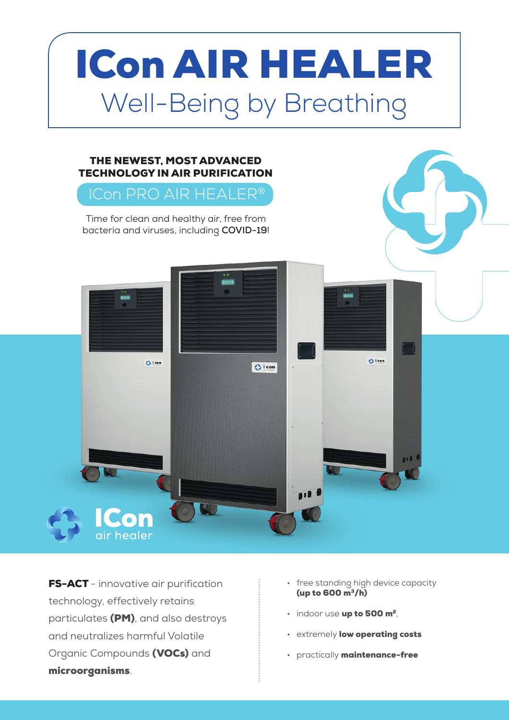## ICon Air Healer Well-Being by Breathing

## The Newest, Most advanced technology in air purificationICon Pro Air Healer® Time for clean and healthy air, free from bacteria and viruses, including **COVID-19**!  $\ddot{O}$  i con  $O$  i con  $O$  i con air healer

**FS-ACT** - innovative air purification technology, effectively retains particulates (PM), and also destroys and neutralizes harmful Volatile Organic Compounds (VOCs) and microorganisms.

- free standing high device capacity (up to 600 m3/h)
- $\cdot$  indoor use up to 500 m<sup>2</sup>,
- extremely low operating costs
- practically maintenance-free